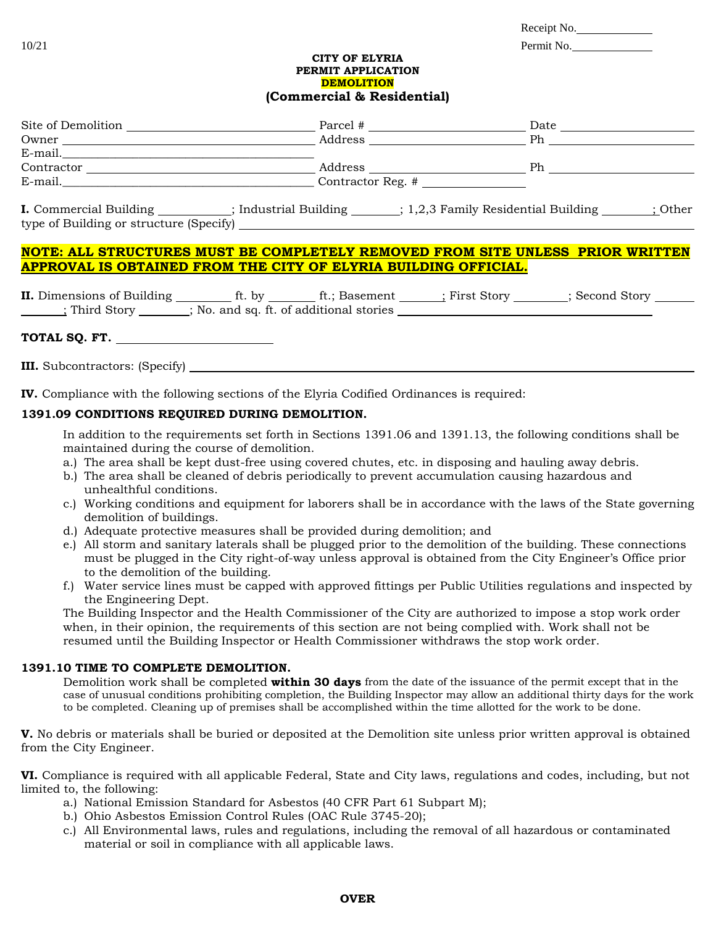| Receipt No. |  |
|-------------|--|
|             |  |

### 10/21 Permit No.

### **CITY OF ELYRIA PERMIT APPLICATION DEMOLITION (Commercial & Residential)**

| Site of Demolition            | Parcel #              |  | Date                                |         |
|-------------------------------|-----------------------|--|-------------------------------------|---------|
| Owner                         | Address               |  | Ph                                  |         |
| E-mail.                       |                       |  |                                     |         |
| Contractor                    | Address               |  | Ph.                                 |         |
| E-mail.                       | Contractor Reg. #     |  |                                     |         |
| <b>I.</b> Commercial Building | ; Industrial Building |  | : 1,2,3 Family Residential Building | : Other |

type of Building or structure (Specify)

# **NOTE: ALL STRUCTURES MUST BE COMPLETELY REMOVED FROM SITE UNLESS PRIOR WRITTEN APPROVAL IS OBTAINED FROM THE CITY OF ELYRIA BUILDING OFFICIAL.**

**II.** Dimensions of Building ft. by ft.; Basement ; First Story ; Second Story ; Third Story ; No. and sq. ft. of additional stories

## **TOTAL SQ. FT.**

**III.** Subcontractors: (Specify)

**IV.** Compliance with the following sections of the Elyria Codified Ordinances is required:

# **1391.09 CONDITIONS REQUIRED DURING DEMOLITION.**

In addition to the requirements set forth in Sections 1391.06 and 1391.13, the following conditions shall be maintained during the course of demolition.

- a.) The area shall be kept dust-free using covered chutes, etc. in disposing and hauling away debris.
- b.) The area shall be cleaned of debris periodically to prevent accumulation causing hazardous and unhealthful conditions.
- c.) Working conditions and equipment for laborers shall be in accordance with the laws of the State governing demolition of buildings.
- d.) Adequate protective measures shall be provided during demolition; and
- e.) All storm and sanitary laterals shall be plugged prior to the demolition of the building. These connections must be plugged in the City right-of-way unless approval is obtained from the City Engineer's Office prior to the demolition of the building.
- f.) Water service lines must be capped with approved fittings per Public Utilities regulations and inspected by the Engineering Dept.

The Building Inspector and the Health Commissioner of the City are authorized to impose a stop work order when, in their opinion, the requirements of this section are not being complied with. Work shall not be resumed until the Building Inspector or Health Commissioner withdraws the stop work order.

# **1391.10 TIME TO COMPLETE DEMOLITION.**

Demolition work shall be completed **within 30 days** from the date of the issuance of the permit except that in the case of unusual conditions prohibiting completion, the Building Inspector may allow an additional thirty days for the work to be completed. Cleaning up of premises shall be accomplished within the time allotted for the work to be done.

**V.** No debris or materials shall be buried or deposited at the Demolition site unless prior written approval is obtained from the City Engineer.

**VI.** Compliance is required with all applicable Federal, State and City laws, regulations and codes, including, but not limited to, the following:

- a.) National Emission Standard for Asbestos (40 CFR Part 61 Subpart M);
- b.) Ohio Asbestos Emission Control Rules (OAC Rule 3745-20);
- c.) All Environmental laws, rules and regulations, including the removal of all hazardous or contaminated material or soil in compliance with all applicable laws.